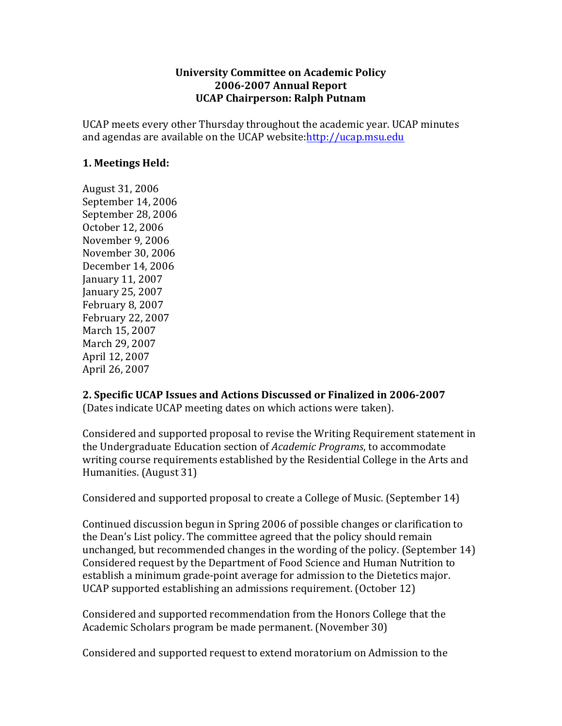## **University Committee on Academic Policy 2006-2007 Annual Report UCAP Chairperson: Ralph Putnam**

UCAP meets every other Thursday throughout the academic year. UCAP minutes and agendas are available on the UCAP website:http://ucap.msu.edu

## **1. Meetings Held:**

August 31, 2006 September 14, 2006 September 28, 2006 October 12, 2006 November 9, 2006 November 30, 2006 December 14, 2006 January 11, 2007 January 25, 2007 February 8, 2007 February 22, 2007 March 15, 2007 March 29, 2007 April 12, 2007 April 26, 2007

## **2. Specific UCAP Issues and Actions Discussed or Finalized in 2006-2007**

(Dates indicate UCAP meeting dates on which actions were taken).

Considered and supported proposal to revise the Writing Requirement statement in the Undergraduate Education section of *Academic Programs*, to accommodate writing course requirements established by the Residential College in the Arts and Humanities. (August 31)

Considered and supported proposal to create a College of Music. (September 14)

Continued discussion begun in Spring 2006 of possible changes or clarification to the Dean's List policy. The committee agreed that the policy should remain unchanged, but recommended changes in the wording of the policy. (September  $14$ ) Considered request by the Department of Food Science and Human Nutrition to establish a minimum grade-point average for admission to the Dietetics major. UCAP supported establishing an admissions requirement. (October 12)

Considered and supported recommendation from the Honors College that the Academic Scholars program be made permanent. (November 30)

Considered and supported request to extend moratorium on Admission to the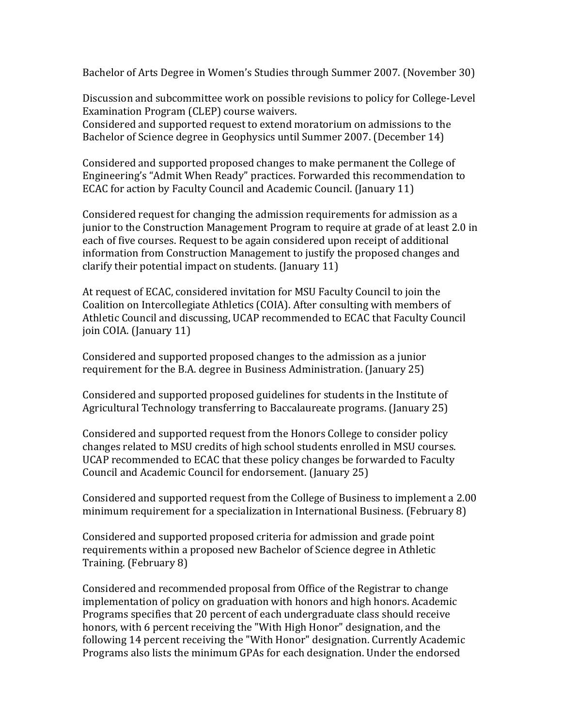Bachelor of Arts Degree in Women's Studies through Summer 2007. (November 30)

Discussion and subcommittee work on possible revisions to policy for College-Level Examination Program (CLEP) course waivers.

Considered and supported request to extend moratorium on admissions to the Bachelor of Science degree in Geophysics until Summer 2007. (December 14)

Considered and supported proposed changes to make permanent the College of Engineering's "Admit When Ready" practices. Forwarded this recommendation to ECAC for action by Faculty Council and Academic Council. (January 11)

Considered request for changing the admission requirements for admission as a junior to the Construction Management Program to require at grade of at least 2.0 in each of five courses. Request to be again considered upon receipt of additional information from Construction Management to justify the proposed changes and clarify their potential impact on students. (January  $11$ )

At request of ECAC, considered invitation for MSU Faculty Council to join the Coalition on Intercollegiate Athletics (COIA). After consulting with members of Athletic Council and discussing, UCAP recommended to ECAC that Faculty Council join COIA. (January 11)

Considered and supported proposed changes to the admission as a junior requirement for the B.A. degree in Business Administration. (January 25)

Considered and supported proposed guidelines for students in the Institute of Agricultural Technology transferring to Baccalaureate programs. (January 25)

Considered and supported request from the Honors College to consider policy changes related to MSU credits of high school students enrolled in MSU courses. UCAP recommended to ECAC that these policy changes be forwarded to Faculty Council and Academic Council for endorsement. (January 25)

Considered and supported request from the College of Business to implement a 2.00 minimum requirement for a specialization in International Business. (February 8)

Considered and supported proposed criteria for admission and grade point requirements within a proposed new Bachelor of Science degree in Athletic Training. (February 8)

Considered and recommended proposal from Office of the Registrar to change implementation of policy on graduation with honors and high honors. Academic Programs specifies that 20 percent of each undergraduate class should receive honors, with 6 percent receiving the "With High Honor" designation, and the following 14 percent receiving the "With Honor" designation. Currently Academic Programs also lists the minimum GPAs for each designation. Under the endorsed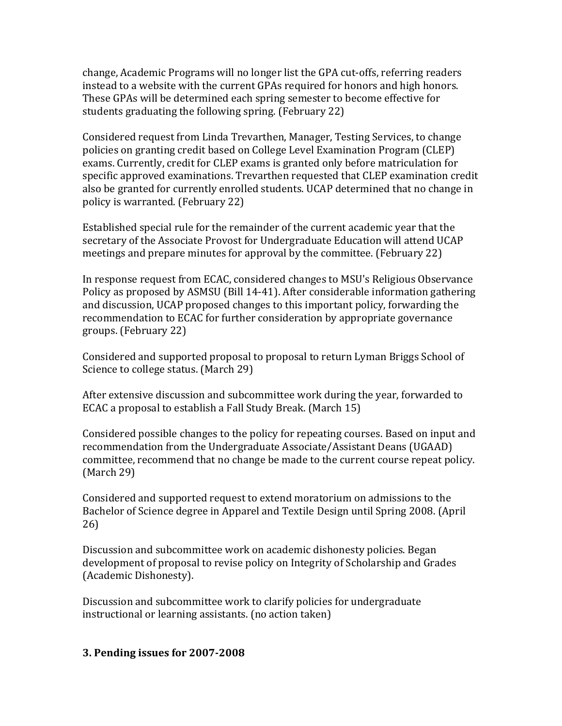change, Academic Programs will no longer list the GPA cut-offs, referring readers instead to a website with the current GPAs required for honors and high honors. These GPAs will be determined each spring semester to become effective for students graduating the following spring. (February 22)

Considered request from Linda Trevarthen, Manager, Testing Services, to change policies on granting credit based on College Level Examination Program (CLEP) exams. Currently, credit for CLEP exams is granted only before matriculation for specific approved examinations. Trevarthen requested that CLEP examination credit also be granted for currently enrolled students. UCAP determined that no change in policy is warranted. (February 22)

Established special rule for the remainder of the current academic year that the secretary of the Associate Provost for Undergraduate Education will attend UCAP meetings and prepare minutes for approval by the committee. (February 22)

In response request from ECAC, considered changes to MSU's Religious Observance Policy as proposed by ASMSU (Bill 14-41). After considerable information gathering and discussion, UCAP proposed changes to this important policy, forwarding the recommendation to ECAC for further consideration by appropriate governance groups. (February 22)

Considered and supported proposal to proposal to return Lyman Briggs School of Science to college status. (March 29)

After extensive discussion and subcommittee work during the year, forwarded to ECAC a proposal to establish a Fall Study Break. (March 15)

Considered possible changes to the policy for repeating courses. Based on input and recommendation from the Undergraduate Associate/Assistant Deans (UGAAD) committee, recommend that no change be made to the current course repeat policy.  $(March 29)$ 

Considered and supported request to extend moratorium on admissions to the Bachelor of Science degree in Apparel and Textile Design until Spring 2008. (April 26)

Discussion and subcommittee work on academic dishonesty policies. Began development of proposal to revise policy on Integrity of Scholarship and Grades (Academic Dishonesty).

Discussion and subcommittee work to clarify policies for undergraduate instructional or learning assistants. (no action taken)

## **3. Pending issues for 2007-2008**